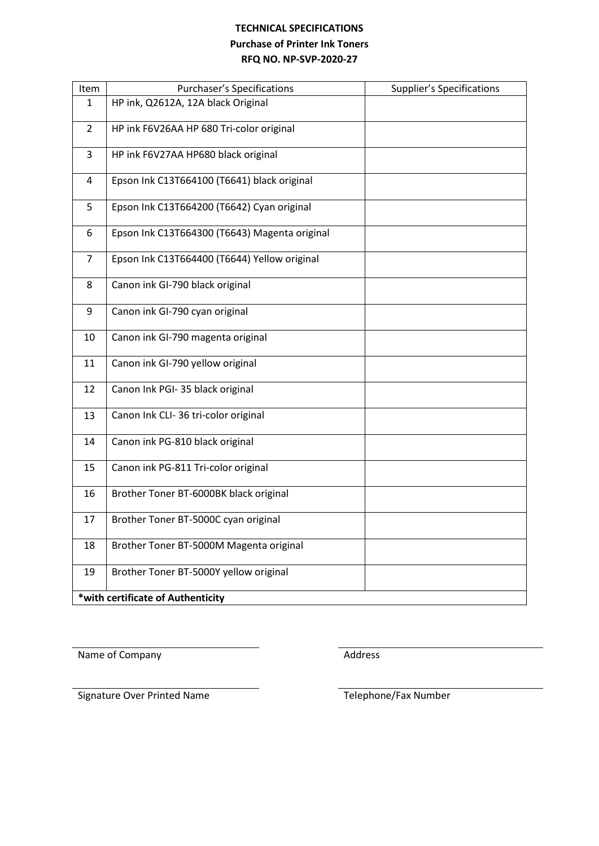# **TECHNICAL SPECIFICATIONS Purchase of Printer Ink Toners RFQ NO. NP-SVP-2020-27**

| Item                              | <b>Purchaser's Specifications</b>             | <b>Supplier's Specifications</b> |  |  |  |
|-----------------------------------|-----------------------------------------------|----------------------------------|--|--|--|
| 1                                 | HP ink, Q2612A, 12A black Original            |                                  |  |  |  |
| $\overline{2}$                    | HP ink F6V26AA HP 680 Tri-color original      |                                  |  |  |  |
| $\overline{3}$                    | HP ink F6V27AA HP680 black original           |                                  |  |  |  |
| 4                                 | Epson Ink C13T664100 (T6641) black original   |                                  |  |  |  |
| 5                                 | Epson Ink C13T664200 (T6642) Cyan original    |                                  |  |  |  |
| 6                                 | Epson Ink C13T664300 (T6643) Magenta original |                                  |  |  |  |
| 7                                 | Epson Ink C13T664400 (T6644) Yellow original  |                                  |  |  |  |
| 8                                 | Canon ink GI-790 black original               |                                  |  |  |  |
| 9                                 | Canon ink GI-790 cyan original                |                                  |  |  |  |
| 10                                | Canon ink GI-790 magenta original             |                                  |  |  |  |
| 11                                | Canon ink GI-790 yellow original              |                                  |  |  |  |
| 12                                | Canon Ink PGI- 35 black original              |                                  |  |  |  |
| 13                                | Canon Ink CLI-36 tri-color original           |                                  |  |  |  |
| 14                                | Canon ink PG-810 black original               |                                  |  |  |  |
| 15                                | Canon ink PG-811 Tri-color original           |                                  |  |  |  |
| 16                                | Brother Toner BT-6000BK black original        |                                  |  |  |  |
| 17                                | Brother Toner BT-5000C cyan original          |                                  |  |  |  |
| 18                                | Brother Toner BT-5000M Magenta original       |                                  |  |  |  |
| 19                                | Brother Toner BT-5000Y yellow original        |                                  |  |  |  |
| *with certificate of Authenticity |                                               |                                  |  |  |  |

Name of Company and the Company Address

Signature Over Printed Name Telephone/Fax Number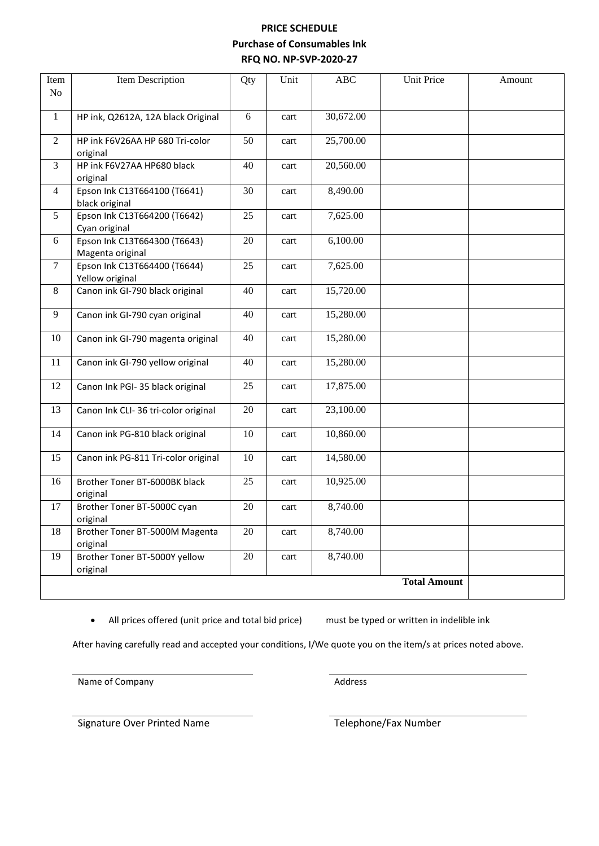## **PRICE SCHEDULE Purchase of Consumables Ink RFQ NO. NP-SVP-2020-27**

| Item           | Item Description                                 | Qty    | Unit | ABC       | Unit Price          | Amount |
|----------------|--------------------------------------------------|--------|------|-----------|---------------------|--------|
| No             |                                                  |        |      |           |                     |        |
| $\mathbf{1}$   | HP ink, Q2612A, 12A black Original               | 6      | cart | 30,672.00 |                     |        |
|                |                                                  |        |      |           |                     |        |
| $\overline{2}$ | HP ink F6V26AA HP 680 Tri-color<br>original      | 50     | cart | 25,700.00 |                     |        |
| 3              | HP ink F6V27AA HP680 black<br>original           | 40     | cart | 20,560.00 |                     |        |
| $\overline{4}$ | Epson Ink C13T664100 (T6641)<br>black original   | 30     | cart | 8,490.00  |                     |        |
| 5              | Epson Ink C13T664200 (T6642)<br>Cyan original    | 25     | cart | 7,625.00  |                     |        |
| 6              | Epson Ink C13T664300 (T6643)<br>Magenta original | 20     | cart | 6,100.00  |                     |        |
| $\tau$         | Epson Ink C13T664400 (T6644)<br>Yellow original  | 25     | cart | 7,625.00  |                     |        |
| 8              | Canon ink GI-790 black original                  | 40     | cart | 15,720.00 |                     |        |
| 9              | Canon ink GI-790 cyan original                   | 40     | cart | 15,280.00 |                     |        |
| 10             | Canon ink GI-790 magenta original                | 40     | cart | 15,280.00 |                     |        |
| 11             | Canon ink GI-790 yellow original                 | 40     | cart | 15,280.00 |                     |        |
| 12             | Canon Ink PGI- 35 black original                 | 25     | cart | 17,875.00 |                     |        |
| 13             | Canon Ink CLI-36 tri-color original              | 20     | cart | 23,100.00 |                     |        |
| 14             | Canon ink PG-810 black original                  | 10     | cart | 10,860.00 |                     |        |
| 15             | Canon ink PG-811 Tri-color original              | 10     | cart | 14,580.00 |                     |        |
| 16             | Brother Toner BT-6000BK black<br>original        | 25     | cart | 10,925.00 |                     |        |
| 17             | Brother Toner BT-5000C cyan<br>original          | 20     | cart | 8,740.00  |                     |        |
| 18             | Brother Toner BT-5000M Magenta<br>original       | 20     | cart | 8,740.00  |                     |        |
| 19             | Brother Toner BT-5000Y yellow<br>original        | $20\,$ | cart | 8,740.00  |                     |        |
|                |                                                  |        |      |           | <b>Total Amount</b> |        |

• All prices offered (unit price and total bid price) must be typed or written in indelible ink

After having carefully read and accepted your conditions, I/We quote you on the item/s at prices noted above.

Name of Company and Address

Signature Over Printed Name Telephone/Fax Number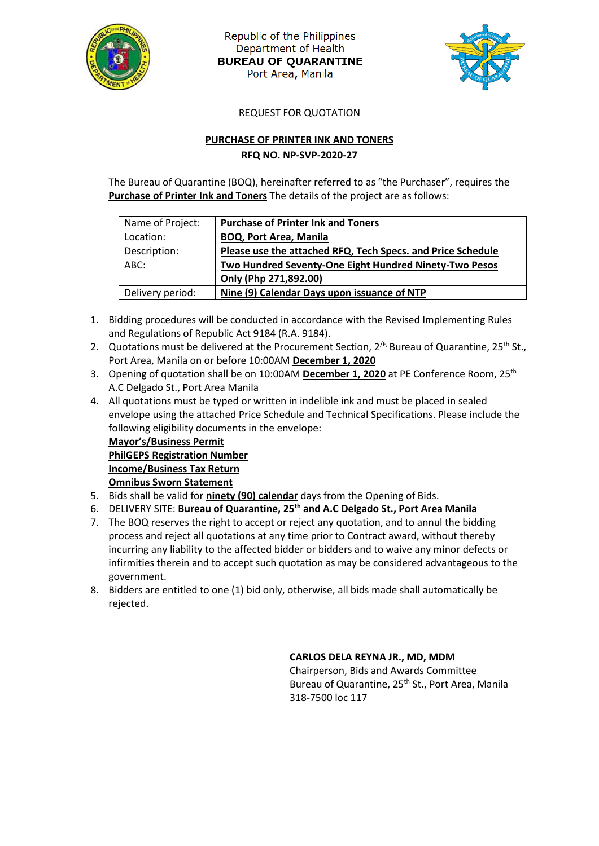

Republic of the Philippines Department of Health **BUREAU OF QUARANTINE** Port Area, Manila



REQUEST FOR QUOTATION

### **PURCHASE OF PRINTER INK AND TONERS RFQ NO. NP-SVP-2020-27**

The Bureau of Quarantine (BOQ), hereinafter referred to as "the Purchaser", requires the **Purchase of Printer Ink and Toners** The details of the project are as follows:

| Name of Project: | <b>Purchase of Printer Ink and Toners</b>                   |
|------------------|-------------------------------------------------------------|
| Location:        | <b>BOQ, Port Area, Manila</b>                               |
| Description:     | Please use the attached RFQ, Tech Specs. and Price Schedule |
| ABC:             | Two Hundred Seventy-One Eight Hundred Ninety-Two Pesos      |
|                  | Only (Php 271,892.00)                                       |
| Delivery period: | Nine (9) Calendar Days upon issuance of NTP                 |
|                  |                                                             |

- 1. Bidding procedures will be conducted in accordance with the Revised Implementing Rules and Regulations of Republic Act 9184 (R.A. 9184).
- 2. Quotations must be delivered at the Procurement Section,  $2^{fF}$ , Bureau of Quarantine,  $25^{th}$  St., Port Area, Manila on or before 10:00AM **December 1, 2020**
- 3. Opening of quotation shall be on 10:00AM **December 1, 2020** at PE Conference Room, 25th A.C Delgado St., Port Area Manila
- 4. All quotations must be typed or written in indelible ink and must be placed in sealed envelope using the attached Price Schedule and Technical Specifications. Please include the following eligibility documents in the envelope:

**Mayor's/Business Permit PhilGEPS Registration Number Income/Business Tax Return Omnibus Sworn Statement**

- 5. Bids shall be valid for **ninety (90) calendar** days from the Opening of Bids.
- 6. DELIVERY SITE: **Bureau of Quarantine, 25th and A.C Delgado St., Port Area Manila**
- 7. The BOQ reserves the right to accept or reject any quotation, and to annul the bidding process and reject all quotations at any time prior to Contract award, without thereby incurring any liability to the affected bidder or bidders and to waive any minor defects or infirmities therein and to accept such quotation as may be considered advantageous to the government.
- 8. Bidders are entitled to one (1) bid only, otherwise, all bids made shall automatically be rejected.

#### **CARLOS DELA REYNA JR., MD, MDM**

Chairperson, Bids and Awards Committee Bureau of Quarantine, 25<sup>th</sup> St., Port Area, Manila 318-7500 loc 117